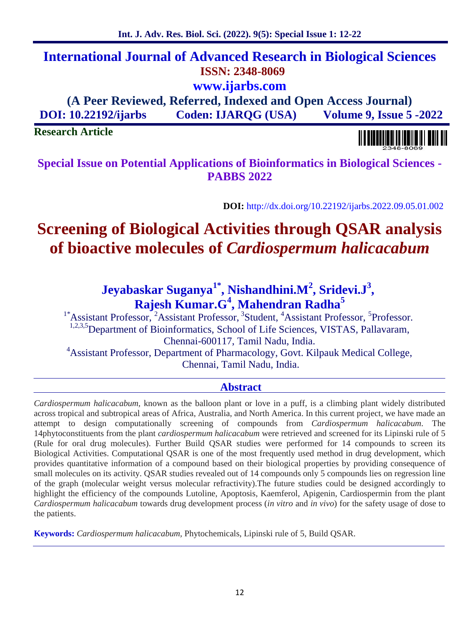# **International Journal of Advanced Research in Biological Sciences ISSN: 2348-8069 www.ijarbs.com**

**(A Peer Reviewed, Referred, Indexed and Open Access Journal) DOI: 10.22192/ijarbs Coden: IJARQG (USA) Volume 9, Issue 5 -2022**

**Research Article**

**Special Issue on Potential Applications of Bioinformatics in Biological Sciences - PABBS 2022**

**DOI:** http://dx.doi.org/10.22192/ijarbs.2022.09.05.01.002

# **Screening of Biological Activities through QSAR analysis of bioactive molecules of** *Cardiospermum halicacabum*

#### **Jeyabaskar Suganya1\* , Nishandhini.M<sup>2</sup> , Sridevi.J<sup>3</sup> , Rajesh Kumar.G<sup>4</sup> , Mahendran Radha<sup>5</sup>**

<sup>1\*</sup>Assistant Professor, <sup>2</sup>Assistant Professor, <sup>3</sup>Student, <sup>4</sup>Assistant Professor, <sup>5</sup>Professor. <sup>1,2,3,5</sup>Department of Bioinformatics, School of Life Sciences, VISTAS, Pallavaram, Chennai-600117, Tamil Nadu, India. <sup>4</sup>Assistant Professor, Department of Pharmacology, Govt. Kilpauk Medical College, Chennai, Tamil Nadu, India.

# **Abstract**

*Cardiospermum halicacabum,* known as the balloon plant or love in a puff, is a climbing plant widely distributed across tropical and subtropical areas of Africa, Australia, and North America. In this current project, we have made an attempt to design computationally screening of compounds from *Cardiospermum halicacabum*. The 14phytoconstituents from the plant *cardiospermum halicacabum* were retrieved and screened for its Lipinski rule of 5 (Rule for oral drug molecules). Further Build QSAR studies were performed for 14 compounds to screen its Biological Activities. Computational QSAR is one of the most frequently used method in drug development, which provides quantitative information of a compound based on their biological properties by providing consequence of small molecules on its activity. QSAR studies revealed out of 14 compounds only 5 compounds lies on regression line of the graph (molecular weight versus molecular refractivity).The future studies could be designed accordingly to highlight the efficiency of the compounds Lutoline, Apoptosis, Kaemferol, Apigenin, Cardiospermin from the plant *Cardiospermum halicacabum* towards drug development process (*in vitro* and *in vivo*) for the safety usage of dose to the patients.

**Keywords:** *Cardiospermum halicacabum,* Phytochemicals, Lipinski rule of 5, Build QSAR.

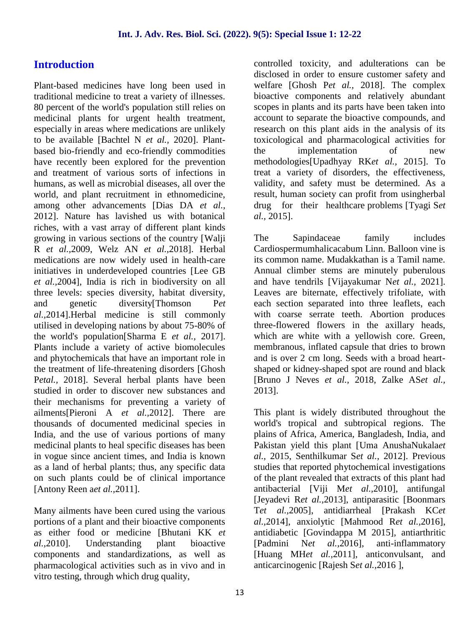# **Introduction**

Plant-based medicines have long been used in traditional medicine to treat a variety of illnesses. 80 percent of the world's population still relies on medicinal plants for urgent health treatment, especially in areas where medications are unlikely to be available [Bachtel N *et al.,* 2020]. Plant based bio-friendly and eco-friendly commodities have recently been explored for the prevention and treatment of various sorts of infections in humans, as well as microbial diseases, all over the world, and plant recruitment in ethnomedicine, among other advancements [Dias DA *et al.,* 2012]. Nature has lavished us with botanical riches, with a vast array of different plant kinds growing in various sections of the country [Walji R *et al.,*2009, Welz AN *et al.,*2018]. Herbal medications are now widely used in health-care initiatives in underdeveloped countries [Lee GB *et al.,*2004], India is rich in biodiversity on all three levels: species diversity, habitat diversity, and genetic diversity[Thomson P*et al.,*2014].Herbal medicine is still commonly utilised in developing nations by about 75-80% of the world's population[Sharma E *et al.,* 2017]. Plants include a variety of active biomolecules and phytochemicals that have an important role in the treatment of life-threatening disorders [Ghosh P*etal.,* 2018]. Several herbal plants have been studied in order to discover new substances and their mechanisms for preventing a variety of ailments[Pieroni A *et al.,*2012]. There are thousands of documented medicinal species in India, and the use of various portions of many medicinal plants to heal specific diseases has been in vogue since ancient times, and India is known as a land of herbal plants; thus, any specific data on such plants could be of clinical importance [Antony Reen a*et al.,*2011].

Many ailments have been cured using the various portions of a plant and their bioactive components as either food or medicine [Bhutani KK *et al.,*2010]. Understanding plant bioactive components and standardizations, as well as pharmacological activities such as in vivo and in vitro testing, through which drug quality,

controlled toxicity, and adulterations can be disclosed in order to ensure customer safety and welfare [Ghosh P*et al.,* 2018]. The complex bioactive components and relatively abundant scopes in plants and its parts have been taken into account to separate the bioactive compounds, and research on this plant aids in the analysis of its toxicological and pharmacological activities for the implementation of new methodologies[Upadhyay RK*et al.,* 2015]. To treat a variety of disorders, the effectiveness, validity, and safety must be determined. As a result, human society can profit from usingherbal drug for their healthcare problems [Tyagi S*et al.,* 2015].

The Sapindaceae family includes Cardiospermumhalicacabum Linn. Balloon vine is its common name. Mudakkathan is a Tamil name. Annual climber stems are minutely puberulous and have tendrils [Vijayakumar N*et al.,* 2021]. Leaves are biternate, effectively trifoliate, with each section separated into three leaflets, each with coarse serrate teeth. Abortion produces three-flowered flowers in the axillary heads, which are white with a yellowish core. Green, membranous, inflated capsule that dries to brown and is over 2 cm long. Seeds with a broad heart shaped or kidney-shaped spot are round and black [Bruno J Neves *et al.,* 2018, Zalke AS*et al.,* 2013].

This plant is widely distributed throughout the world's tropical and subtropical regions. The plains of Africa, America, Bangladesh, India, and Pakistan yield this plant [Uma AnushaNukala*et al.,* 2015, Senthilkumar S*et al.,* 2012]. Previous studies that reported phytochemical investigations of the plant revealed that extracts of this plant had antibacterial [Viji M*et al.,*2010], antifungal [Jeyadevi R*et al.,*2013], antiparasitic [Boonmars T*et al.,*2005], antidiarrheal [Prakash KC*et al.,*2014], anxiolytic [Mahmood R*et al.,*2016], antidiabetic [Govindappa M 2015], antiarthritic Net al., 2016], anti-inflammatory [Huang MH*et al.,*2011], anticonvulsant, and anticarcinogenic [Rajesh S*et al.,*2016 ],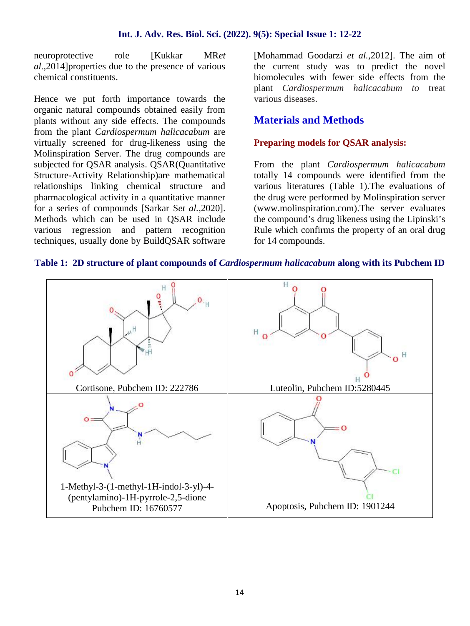#### **Int. J. Adv. Res. Biol. Sci. (2022). 9(5): Special Issue 1: 12-22**

neuroprotective role [Kukkar MR*et al.,*2014]properties due to the presence of various chemical constituents.

Hence we put forth importance towards the organic natural compounds obtained easily from plants without any side effects. The compounds from the plant *Cardiospermum halicacabum* are virtually screened for drug-likeness using the Molinspiration Server. The drug compounds are subjected for QSAR analysis. QSAR(Quantitative Structure-Activity Relationship)are mathematical relationships linking chemical structure and pharmacological activity in a quantitative manner for a series of compounds [Sarkar S*et al.,*2020]. Methods which can be used in QSAR include various regression and pattern recognition techniques, usually done by BuildQSAR software [Mohammad Goodarzi *et al.,*2012]. The aim of the current study was to predict the novel biomolecules with fewer side effects from the plant *Cardiospermum halicacabum to* treat various diseases.

## **Materials and Methods**

#### **Preparing models for QSAR analysis:**

From the plant *Cardiospermum halicacabum* totally 14 compounds were identified from the various literatures (Table 1).The evaluations of the drug were performed by Molinspiration server (www.molinspiration.com).The server evaluates the compound's drug likeness using the Lipinski's Rule which confirms the property of an oral drug for 14 compounds.



#### **Table 1: 2D structure of plant compounds of** *Cardiospermum halicacabum* **along with its Pubchem ID**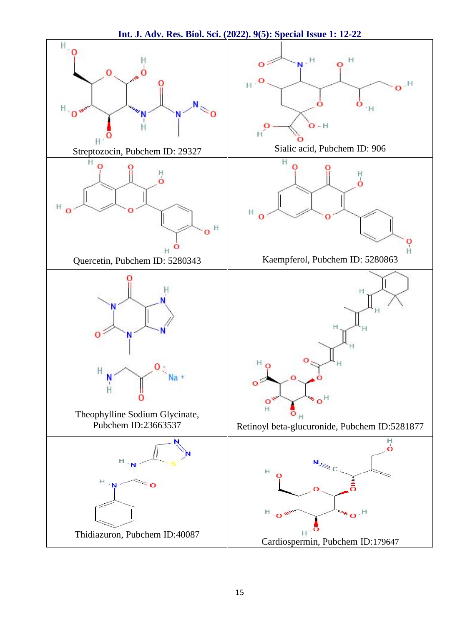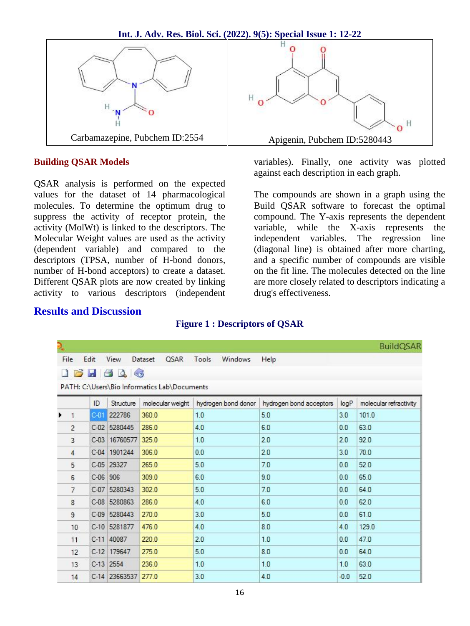

#### **Building QSAR Models**

QSAR analysis is performed on the expected values for the dataset of 14 pharmacological molecules. To determine the optimum drug to suppress the activity of receptor protein, the activity (MolWt) is linked to the descriptors. The Molecular Weight values are used as the activity (dependent variable) and compared to the descriptors (TPSA, number of H-bond donors, number of H-bond acceptors) to create a dataset. Different QSAR plots are now created by linking activity to various descriptors (independent variables). Finally, one activity was plotted against each description in each graph.

The compounds are shown in a graph using the Build QSAR software to forecast the optimal compound. The Y-axis represents the dependent variable, while the X-axis represents the independent variables. The regression line (diagonal line) is obtained after more charting, and a specific number of compounds are visible on the fit line. The molecules detected on the line are more closely related to descriptors indicating a drug's effectiveness.

#### **Results and Discussion**

### **Figure 1 : Descriptors of QSAR**

| $\mathbf{P}_{\mathbf{u}}$ |                |        |                                |                                                                 |                         |                         |        | <b>BuildQSAR</b>       |
|---------------------------|----------------|--------|--------------------------------|-----------------------------------------------------------------|-------------------------|-------------------------|--------|------------------------|
|                           | File<br>P.     | Edit   | View<br>H G Q<br>$\leqslant v$ | QSAR<br>Dataset<br>PATH: C:\Users\Bio Informatics Lab\Documents | Tools<br><b>Windows</b> | Help                    |        |                        |
|                           |                | ID     | Structure                      | molecular weight                                                | hydrogen bond donor     | hydrogen bond acceptors | logP   | molecular refractivity |
|                           | $\mathbf{1}$   | $C-01$ | 222786                         | 360.0                                                           | 1.0                     | 5.0                     | 3.0    | 101.0                  |
|                           | $\overline{2}$ | $C-02$ | 5280445                        | 286.0                                                           | 4.0                     | 6.0                     | 0.0    | 63.0                   |
|                           | 3              | $C-03$ | 16760577                       | 325.0                                                           | 1.0                     | 2.0                     | 2.0    | 92.0                   |
|                           | $\overline{4}$ | $C-04$ | 1901244                        | 306.0                                                           | 0.0                     | 2.0                     | 3.0    | 70.0                   |
|                           | 5              | $C-05$ | 29327                          | 265.0                                                           | 5.0                     | 7.0                     | 0.0    | 52.0                   |
|                           | 6              | $C-06$ | 906                            | 309.0                                                           | 6.0                     | 9.0                     | 0.0    | 65.0                   |
|                           | $\overline{7}$ | $C-07$ | 5280343                        | 302.0                                                           | 5.0                     | 7.0                     | 0.0    | 64.0                   |
|                           | 8              |        | C-08 5280863                   | 286.0                                                           | 4.0                     | 6.0                     | 0.0    | 62.0                   |
|                           | 9              |        | C-09 5280443                   | 270.0                                                           | 3.0                     | 5.0                     | 0.0    | 61.0                   |
|                           | 10             | $C-10$ | 5281877                        | 476.0                                                           | 4.0                     | 8.0                     | 4.0    | 129.0                  |
|                           | 11             | $C-11$ | 40087                          | 220.0                                                           | 2.0                     | 1.0                     | 0.0    | 47.0                   |
|                           | 12             |        | C-12 179647                    | 275.0                                                           | 5.0                     | 8.0                     | 0.0    | 64.0                   |
|                           | 13             |        | $C-13$ 2554                    | 236.0                                                           | 1.0                     | 1.0                     | 1.0    | 63.0                   |
|                           | 14             |        | C-14 23663537                  | 277.0                                                           | 3.0                     | 4.0                     | $-0.0$ | 52.0                   |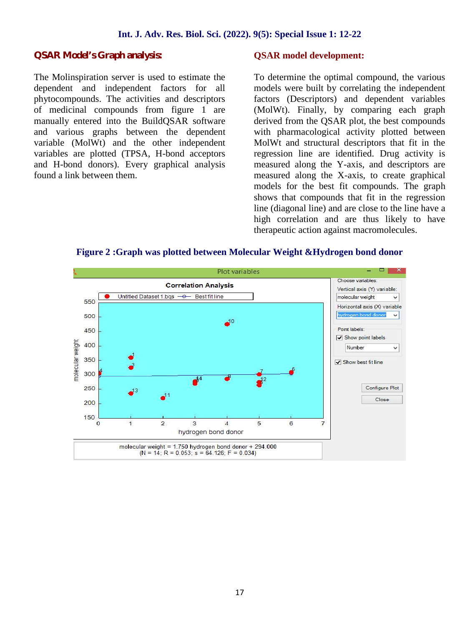#### **Int. J. Adv. Res. Biol. Sci. (2022). 9(5): Special Issue 1: 12-22**

#### **QSAR Model's Graph analysis:**

The Molinspiration server is used to estimate the dependent and independent factors for all phytocompounds. The activities and descriptors of medicinal compounds from figure 1 are manually entered into the BuildQSAR software and various graphs between the dependent variable (MolWt) and the other independent variables are plotted (TPSA, H-bond acceptors and H-bond donors). Every graphical analysis found a link between them.

#### **QSAR model development:**

To determine the optimal compound, the various models were built by correlating the independent factors (Descriptors) and dependent variables (MolWt). Finally, by comparing each graph derived from the QSAR plot, the best compounds with pharmacological activity plotted between MolWt and structural descriptors that fit in the regression line are identified. Drug activity is measured along the Y-axis, and descriptors are measured along the X-axis, to create graphical models for the best fit compounds. The graph shows that compounds that fit in the regression line (diagonal line) and are close to the line have a high correlation and are thus likely to have therapeutic action against macromolecules.



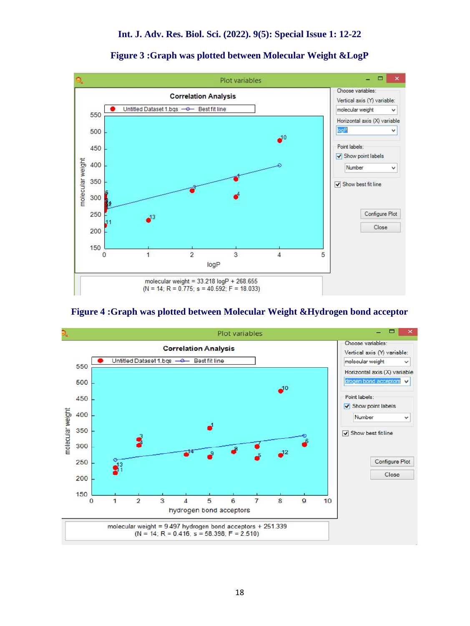

**Figure 3 :Graph was plotted between Molecular Weight &LogP**

#### **Figure 4 :Graph was plotted between Molecular Weight &Hydrogen bond acceptor**

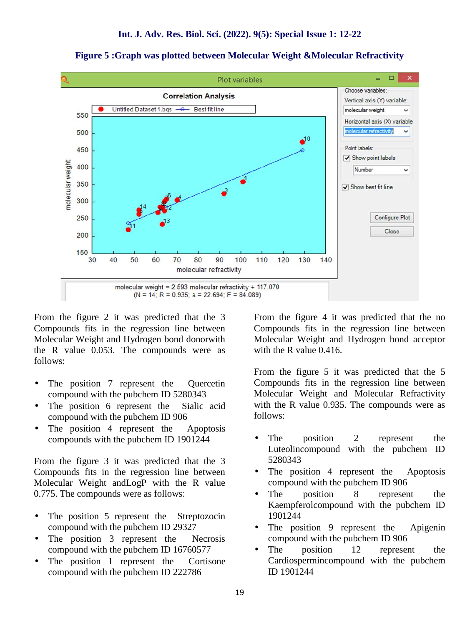

**Figure 5 :Graph was plotted between Molecular Weight &Molecular Refractivity**

From the figure 2 it was predicted that the 3 Compounds fits in the regression line between Molecular Weight and Hydrogen bond donorwith the R value 0.053. The compounds were as follows:

- The position 7 represent the Quercetin compound with the pubchem ID 5280343
- The position 6 represent the Sialic acid compound with the pubchem ID 906
- The position 4 represent the Apoptosis compounds with the pubchem ID 1901244

From the figure 3 it was predicted that the 3 Compounds fits in the regression line between Molecular Weight andLogP with the R value 0.775. The compounds were as follows:

- The position 5 represent the Streptozocin compound with the pubchem ID 29327
- The position 3 represent the Necrosis compound with the pubchem ID 16760577
- The position 1 represent the Cortisone compound with the pubchem ID 222786

From the figure 4 it was predicted that the no Compounds fits in the regression line between Molecular Weight and Hydrogen bond acceptor with the R value 0.416.

From the figure 5 it was predicted that the 5 Compounds fits in the regression line between Molecular Weight and Molecular Refractivity with the R value 0.935. The compounds were as follows:

- The position 2 represent the Luteolincompound with the pubchem ID 5280343
- The position 4 represent the Apoptosis compound with the pubchem ID 906
- The position 8 represent the Kaempferolcompound with the pubchem ID 1901244
- The position 9 represent the Apigenin compound with the pubchem ID 906
- The position 12 represent the Cardiospermincompound with the pubchem ID 1901244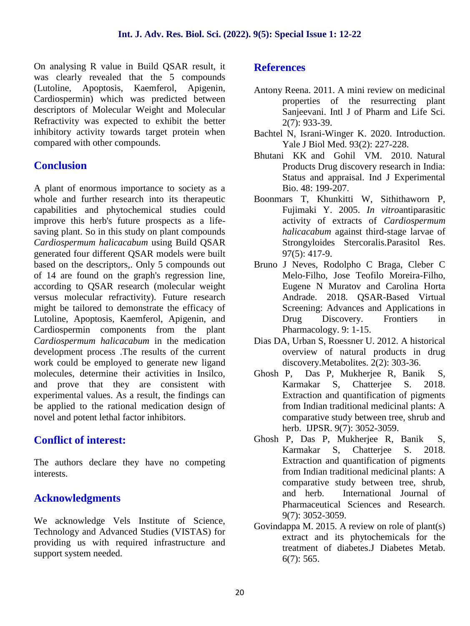On analysing R value in Build QSAR result, it was clearly revealed that the 5 compounds (Lutoline, Apoptosis, Kaemferol, Apigenin, Cardiospermin) which was predicted between descriptors of Molecular Weight and Molecular Refractivity was expected to exhibit the better inhibitory activity towards target protein when compared with other compounds.

# **Conclusion**

A plant of enormous importance to society as a whole and further research into its therapeutic capabilities and phytochemical studies could improve this herb's future prospects as a life saving plant. So in this study on plant compounds *Cardiospermum halicacabum* using Build QSAR generated four different QSAR models were built based on the descriptors,. Only 5 compounds out of 14 are found on the graph's regression line, according to QSAR research (molecular weight versus molecular refractivity). Future research might be tailored to demonstrate the efficacy of Lutoline, Apoptosis, Kaemferol, Apigenin, and Cardiospermin components from the plant *Cardiospermum halicacabum* in the medication development process .The results of the current work could be employed to generate new ligand molecules, determine their activities in Insilco, and prove that they are consistent with experimental values. As a result, the findings can be applied to the rational medication design of novel and potent lethal factor inhibitors.

# **Conflict of interest:**

The authors declare they have no competing interests.

# **Acknowledgments**

We acknowledge Vels Institute of Science, Technology and Advanced Studies (VISTAS) for providing us with required infrastructure and support system needed.

## **References**

- Antony Reena. 2011. A mini review on medicinal properties of the resurrecting plant Sanjeevani. Intl J of Pharm and Life Sci. 2(7): 933-39.
- Bachtel N, Israni-Winger K. 2020. Introduction. Yale J Biol Med. 93(2): 227-228.
- Bhutani KK and Gohil VM. 2010. Natural Products Drug discovery research in India: Status and appraisal. Ind J Experimental Bio. 48: 199-207.
- Boonmars T, Khunkitti W, Sithithaworn P, Fujimaki Y. 2005. *In vitro*antiparasitic activity of extracts of *Cardiospermum halicacabum* against third-stage larvae of Strongyloides Stercoralis.Parasitol Res. 97(5): 417-9.
- Bruno J Neves, Rodolpho C Braga, Cleber C Melo-Filho, Jose Teofilo Moreira-Filho, Eugene N Muratov and Carolina Horta Andrade. 2018. QSAR-Based Virtual Screening: Advances and Applications in Drug Discovery. Frontiers in Pharmacology. 9: 1-15.
- Dias DA, Urban S, Roessner U. 2012. A historical overview of natural products in drug discovery.Metabolites. 2(2): 303-36.
- Ghosh P, Das P, Mukherjee R, Banik S, Karmakar S, Chatterjee S. 2018. Extraction and quantification of pigments from Indian traditional medicinal plants: A comparative study between tree, shrub and herb. IJPSR. 9(7): 3052-3059.
- Ghosh P, Das P, Mukherjee R, Banik S, Karmakar S, Chatterjee S. 2018. Extraction and quantification of pigments from Indian traditional medicinal plants: A comparative study between tree, shrub, and herb. International Journal of Pharmaceutical Sciences and Research. 9(7): 3052-3059.
- Govindappa M. 2015. A review on role of plant(s) extract and its phytochemicals for the treatment of diabetes.J Diabetes Metab. 6(7): 565.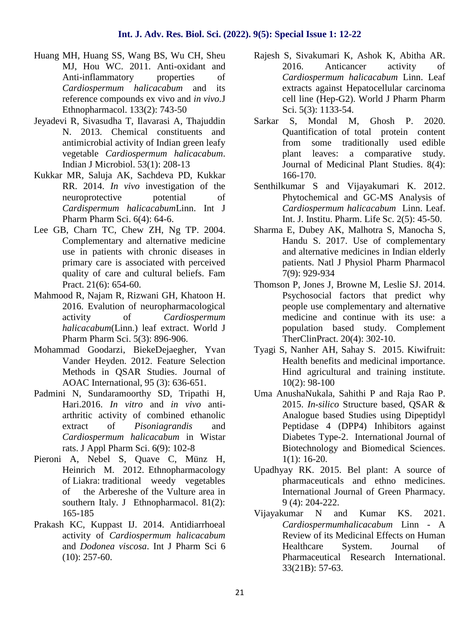- Huang MH, Huang SS, Wang BS, Wu CH, Sheu MJ, Hou WC. 2011. Anti-oxidant and Anti-inflammatory properties of *Cardiospermum halicacabum* and its reference compounds ex vivo and *in vivo.*J Ethnopharmacol. 133(2): 743-50
- Jeyadevi R, Sivasudha T, Ilavarasi A, Thajuddin N. 2013. Chemical constituents and antimicrobial activity of Indian green leafy vegetable *Cardiospermum halicacabum*. Indian J Microbiol. 53(1): 208-13
- Kukkar MR, Saluja AK, Sachdeva PD, Kukkar RR. 2014. *In vivo* investigation of the neuroprotective potential of *Cardispermum halicacabum*Linn. Int J Pharm Pharm Sci. 6(4): 64-6.
- Lee GB, Charn TC, Chew ZH, Ng TP. 2004. Complementary and alternative medicine use in patients with chronic diseases in primary care is associated with perceived quality of care and cultural beliefs. Fam Pract. 21(6): 654-60.
- Mahmood R, Najam R, Rizwani GH, Khatoon H. 2016. Evalution of neuropharmacological activity of *Cardiospermum halicacabum*(Linn.) leaf extract. World J Pharm Pharm Sci. 5(3): 896-906.
- Mohammad Goodarzi, BiekeDejaegher, Yvan Vander Heyden. 2012. Feature Selection Methods in QSAR Studies. Journal of AOAC International, 95 (3): 636-651.
- Padmini N, Sundaramoorthy SD, Tripathi H, Hari.2016. *In vitro* and *in vivo* anti arthritic activity of combined ethanolic extract of *Pisoniagrandis* and *Cardiospermum halicacabum* in Wistar rats. J Appl Pharm Sci. 6(9): 102-8
- Pieroni A, Nebel S, Quave C, Münz H, Heinrich M. 2012. Ethnopharmacology of Liakra: traditional weedy vegetables of the Arbereshe of the Vulture area in southern Italy. J Ethnopharmacol. 81(2): 165-185
- Prakash KC, Kuppast IJ. 2014. Antidiarrhoeal activity of *Cardiospermum halicacabum* and *Dodonea viscosa*. Int J Pharm Sci 6 (10): 257-60.
- Rajesh S, Sivakumari K, Ashok K, Abitha AR. 2016. Anticancer activity of *Cardiospermum halicacabum* Linn. Leaf extracts against Hepatocellular carcinoma cell line (Hep-G2). World J Pharm Pharm Sci. 5(3): 1133-54.
- S. Mondal M. Ghosh P. 2020. Quantification of total protein content from some traditionally used edible plant leaves: a comparative study. Journal of Medicinal Plant Studies. 8(4): 166-170.
- Senthilkumar S and Vijayakumari K. 2012. Phytochemical and GC-MS Analysis of *Cardiospermum halicacabum* Linn. Leaf. Int. J. Institu. Pharm. Life Sc. 2(5): 45-50.
- Sharma E, Dubey AK, Malhotra S, Manocha S, Handu S. 2017. Use of complementary and alternative medicines in Indian elderly patients. Natl J Physiol Pharm Pharmacol 7(9): 929-934
- Thomson P, Jones J, Browne M, Leslie SJ. 2014. Psychosocial factors that predict why people use complementary and alternative medicine and continue with its use: a population based study. Complement TherClinPract. 20(4): 302-10.
- Tyagi S, Nanher AH, Sahay S. 2015. Kiwifruit: Health benefits and medicinal importance. Hind agricultural and training institute. 10(2): 98-100
- Uma AnushaNukala, Sahithi P and Raja Rao P. 2015. *In-silico* Structure based, QSAR & Analogue based Studies using Dipeptidyl Peptidase 4 (DPP4) Inhibitors against Diabetes Type-2. International Journal of Biotechnology and Biomedical Sciences. 1(1): 16-20.
- Upadhyay RK. 2015. Bel plant: A source of pharmaceuticals and ethno medicines. International Journal of Green Pharmacy. 9 (4): 204-222.
- Vijayakumar N and Kumar KS. 2021. *Cardiospermumhalicacabum* Linn -A Review of its Medicinal Effects on Human Healthcare System. Journal of Pharmaceutical Research International. 33(21B): 57-63.